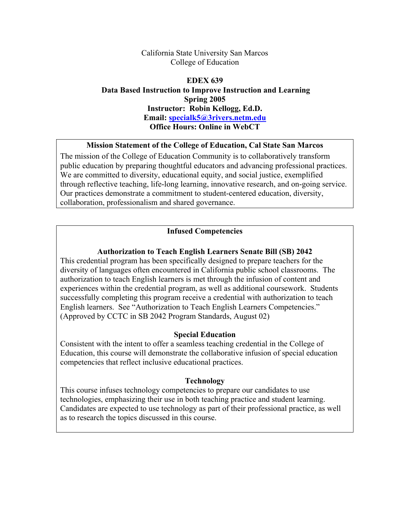### California State University San Marcos College of Education

# **EDEX 639 Data Based Instruction to Improve Instruction and Learning Spring 2005 Instructor: Robin Kellogg, Ed.D. Email: specialk5@3rivers.netm.edu Office Hours: Online in WebCT**

### **Mission Statement of the College of Education, Cal State San Marcos**

The mission of the College of Education Community is to collaboratively transform public education by preparing thoughtful educators and advancing professional practices. We are committed to diversity, educational equity, and social justice, exemplified through reflective teaching, life-long learning, innovative research, and on-going service. Our practices demonstrate a commitment to student-centered education, diversity, collaboration, professionalism and shared governance.

## **Infused Competencies**

### **Authorization to Teach English Learners Senate Bill (SB) 2042**

This credential program has been specifically designed to prepare teachers for the diversity of languages often encountered in California public school classrooms. The authorization to teach English learners is met through the infusion of content and experiences within the credential program, as well as additional coursework. Students successfully completing this program receive a credential with authorization to teach English learners. See "Authorization to Teach English Learners Competencies." (Approved by CCTC in SB 2042 Program Standards, August 02)

### **Special Education**

Consistent with the intent to offer a seamless teaching credential in the College of Education, this course will demonstrate the collaborative infusion of special education competencies that reflect inclusive educational practices.

### **Technology**

This course infuses technology competencies to prepare our candidates to use technologies, emphasizing their use in both teaching practice and student learning. Candidates are expected to use technology as part of their professional practice, as well as to research the topics discussed in this course.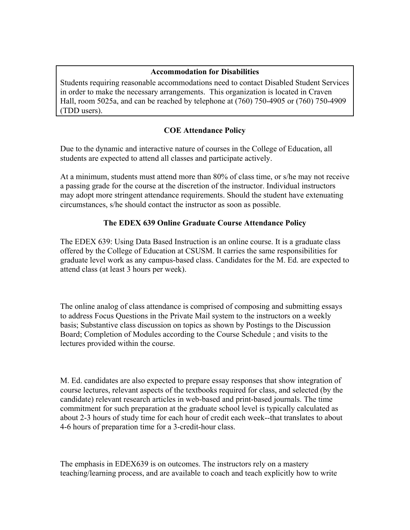## **Accommodation for Disabilities**

Students requiring reasonable accommodations need to contact Disabled Student Services in order to make the necessary arrangements. This organization is located in Craven Hall, room 5025a, and can be reached by telephone at (760) 750-4905 or (760) 750-4909 (TDD users).

# **COE Attendance Policy**

Due to the dynamic and interactive nature of courses in the College of Education, all students are expected to attend all classes and participate actively.

At a minimum, students must attend more than 80% of class time, or s/he may not receive a passing grade for the course at the discretion of the instructor. Individual instructors may adopt more stringent attendance requirements. Should the student have extenuating circumstances, s/he should contact the instructor as soon as possible.

# **The EDEX 639 Online Graduate Course Attendance Policy**

The EDEX 639: Using Data Based Instruction is an online course. It is a graduate class offered by the College of Education at CSUSM. It carries the same responsibilities for graduate level work as any campus-based class. Candidates for the M. Ed. are expected to attend class (at least 3 hours per week).

The online analog of class attendance is comprised of composing and submitting essays to address Focus Questions in the Private Mail system to the instructors on a weekly basis; Substantive class discussion on topics as shown by Postings to the Discussion Board; Completion of Modules according to the Course Schedule ; and visits to the lectures provided within the course.

M. Ed. candidates are also expected to prepare essay responses that show integration of course lectures, relevant aspects of the textbooks required for class, and selected (by the candidate) relevant research articles in web-based and print-based journals. The time commitment for such preparation at the graduate school level is typically calculated as about 2-3 hours of study time for each hour of credit each week--that translates to about 4-6 hours of preparation time for a 3-credit-hour class.

The emphasis in EDEX639 is on outcomes. The instructors rely on a mastery teaching/learning process, and are available to coach and teach explicitly how to write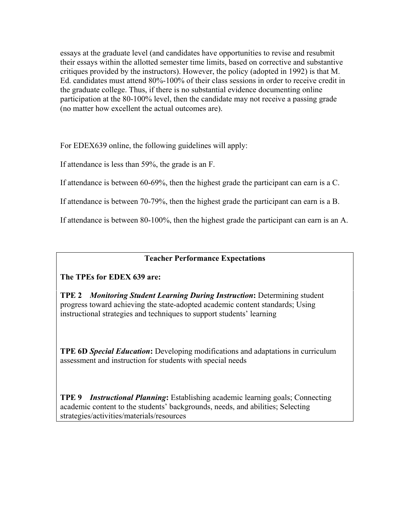essays at the graduate level (and candidates have opportunities to revise and resubmit their essays within the allotted semester time limits, based on corrective and substantive critiques provided by the instructors). However, the policy (adopted in 1992) is that M. Ed. candidates must attend 80%-100% of their class sessions in order to receive credit in the graduate college. Thus, if there is no substantial evidence documenting online participation at the 80-100% level, then the candidate may not receive a passing grade (no matter how excellent the actual outcomes are).

For EDEX639 online, the following guidelines will apply:

If attendance is less than 59%, the grade is an F.

If attendance is between 60-69%, then the highest grade the participant can earn is a C.

If attendance is between 70-79%, then the highest grade the participant can earn is a B.

If attendance is between 80-100%, then the highest grade the participant can earn is an A.

# **Teacher Performance Expectations**

# **The TPEs for EDEX 639 are:**

**TPE 2** *Monitoring Student Learning During Instruction***:** Determining student progress toward achieving the state-adopted academic content standards; Using instructional strategies and techniques to support students' learning

**TPE 6D** *Special Education***:** Developing modifications and adaptations in curriculum assessment and instruction for students with special needs

**TPE 9** *Instructional Planning***:** Establishing academic learning goals; Connecting academic content to the students' backgrounds, needs, and abilities; Selecting strategies/activities/materials/resources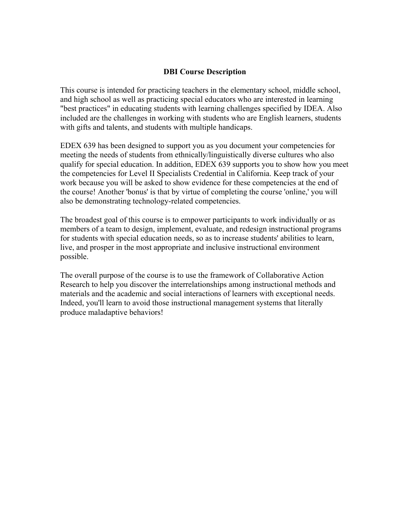### **DBI Course Description**

This course is intended for practicing teachers in the elementary school, middle school, and high school as well as practicing special educators who are interested in learning "best practices" in educating students with learning challenges specified by IDEA. Also included are the challenges in working with students who are English learners, students with gifts and talents, and students with multiple handicaps.

EDEX 639 has been designed to support you as you document your competencies for meeting the needs of students from ethnically/linguistically diverse cultures who also qualify for special education. In addition, EDEX 639 supports you to show how you meet the competencies for Level II Specialists Credential in California. Keep track of your work because you will be asked to show evidence for these competencies at the end of the course! Another 'bonus' is that by virtue of completing the course 'online,' you will also be demonstrating technology-related competencies.

The broadest goal of this course is to empower participants to work individually or as members of a team to design, implement, evaluate, and redesign instructional programs for students with special education needs, so as to increase students' abilities to learn, live, and prosper in the most appropriate and inclusive instructional environment possible.

The overall purpose of the course is to use the framework of Collaborative Action Research to help you discover the interrelationships among instructional methods and materials and the academic and social interactions of learners with exceptional needs. Indeed, you'll learn to avoid those instructional management systems that literally produce maladaptive behaviors!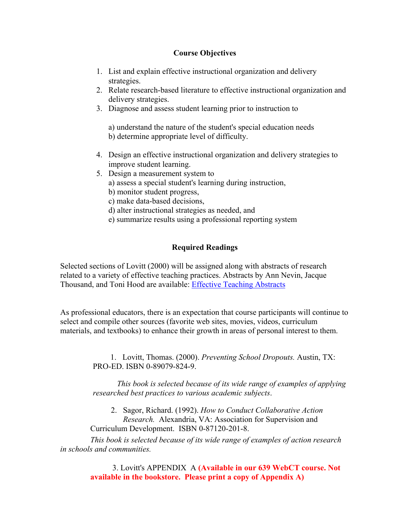## **Course Objectives**

- 1. List and explain effective instructional organization and delivery strategies.
- 2. Relate research-based literature to effective instructional organization and delivery strategies.
- 3. Diagnose and assess student learning prior to instruction to

 a) understand the nature of the student's special education needs b) determine appropriate level of difficulty.

- 4. Design an effective instructional organization and delivery strategies to improve student learning.
- 5. Design a measurement system to
	- a) assess a special student's learning during instruction,
	- b) monitor student progress,
	- c) make data-based decisions,
	- d) alter instructional strategies as needed, and
	- e) summarize results using a professional reporting system

# **Required Readings**

Selected sections of Lovitt (2000) will be assigned along with abstracts of research related to a variety of effective teaching practices. Abstracts by Ann Nevin, Jacque Thousand, and Toni Hood are available: Effective Teaching Abstracts

As professional educators, there is an expectation that course participants will continue to select and compile other sources (favorite web sites, movies, videos, curriculum materials, and textbooks) to enhance their growth in areas of personal interest to them.

> 1. Lovitt, Thomas. (2000). *Preventing School Dropouts.* Austin, TX: PRO-ED. ISBN 0-89079-824-9.

*This book is selected because of its wide range of examples of applying researched best practices to various academic subjects*.

2. Sagor, Richard. (1992). *How to Conduct Collaborative Action Research.* Alexandria, VA: Association for Supervision and Curriculum Development. ISBN 0-87120-201-8.

 *This book is selected because of its wide range of examples of action research in schools and communities.* 

> 3. Lovitt's APPENDIX A **(Available in our 639 WebCT course. Not available in the bookstore. Please print a copy of Appendix A)**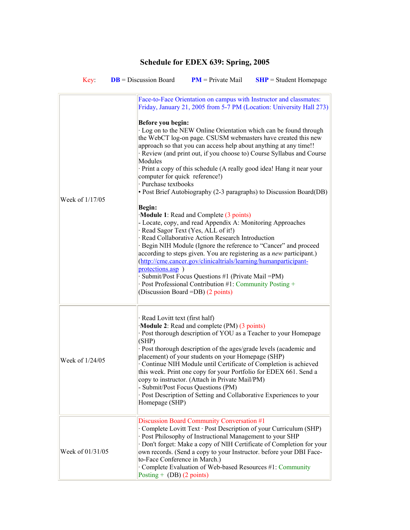# **Schedule for EDEX 639: Spring, 2005**

| Key:             | $DB = Discussion$ Board                                                                                              | $PM$ = Private Mail                                                                                                                                                                                                                                                                                                                                                                                                                                                                                                                                                                                        | $SHP = Student Homepage$                                                                                                                                                                                                                                                                                                                                                                                                                                                                                                                                                                                                                                                                                                    |
|------------------|----------------------------------------------------------------------------------------------------------------------|------------------------------------------------------------------------------------------------------------------------------------------------------------------------------------------------------------------------------------------------------------------------------------------------------------------------------------------------------------------------------------------------------------------------------------------------------------------------------------------------------------------------------------------------------------------------------------------------------------|-----------------------------------------------------------------------------------------------------------------------------------------------------------------------------------------------------------------------------------------------------------------------------------------------------------------------------------------------------------------------------------------------------------------------------------------------------------------------------------------------------------------------------------------------------------------------------------------------------------------------------------------------------------------------------------------------------------------------------|
| Week of 1/17/05  | Before you begin:<br>Modules<br>computer for quick reference!)<br>· Purchase textbooks<br>Begin:<br>protections.asp) | Module 1: Read and Complete (3 points)<br>- Locate, copy, and read Appendix A: Monitoring Approaches<br>· Read Sagor Text (Yes, ALL of it!)<br>· Read Collaborative Action Research Introduction<br>(http://cme.cancer.gov/clinicaltrials/learning/humanparticipant-<br>· Submit/Post Focus Questions #1 (Private Mail = PM)<br>· Post Professional Contribution #1: Community Posting +<br>(Discussion Board = DB) (2 points)                                                                                                                                                                             | Face-to-Face Orientation on campus with Instructor and classmates:<br>Friday, January 21, 2005 from 5-7 PM (Location: University Hall 273)<br>· Log on to the NEW Online Orientation which can be found through<br>the WebCT log-on page. CSUSM webmasters have created this new<br>approach so that you can access help about anything at any time!!<br>· Review (and print out, if you choose to) Course Syllabus and Course<br>· Print a copy of this schedule (A really good idea! Hang it near your<br>• Post Brief Autobiography (2-3 paragraphs) to Discussion Board(DB)<br>· Begin NIH Module (Ignore the reference to "Cancer" and proceed<br>according to steps given. You are registering as a new participant.) |
| Week of 1/24/05  | (SHP)                                                                                                                | · Read Lovitt text (first half)<br>Module 2: Read and complete (PM) (3 points)<br>· Post thorough description of YOU as a Teacher to your Homepage<br>· Post thorough description of the ages/grade levels (academic and<br>placement) of your students on your Homepage (SHP)<br>· Continue NIH Module until Certificate of Completion is achieved<br>this week. Print one copy for your Portfolio for EDEX 661. Send a<br>copy to instructor. (Attach in Private Mail/PM)<br>- Submit/Post Focus Questions (PM)<br>· Post Description of Setting and Collaborative Experiences to your<br>Homepage (SHP) |                                                                                                                                                                                                                                                                                                                                                                                                                                                                                                                                                                                                                                                                                                                             |
| Week of 01/31/05 | to-Face Conference in March.)<br>Posting + $(DB)$ (2 points)                                                         | Discussion Board Community Conversation #1<br>· Post Philosophy of Instructional Management to your SHP<br>Complete Evaluation of Web-based Resources #1: Community                                                                                                                                                                                                                                                                                                                                                                                                                                        | · Complete Lovitt Text · Post Description of your Curriculum (SHP)<br>· Don't forget: Make a copy of NIH Certificate of Completion for your<br>own records. (Send a copy to your Instructor. before your DBI Face-                                                                                                                                                                                                                                                                                                                                                                                                                                                                                                          |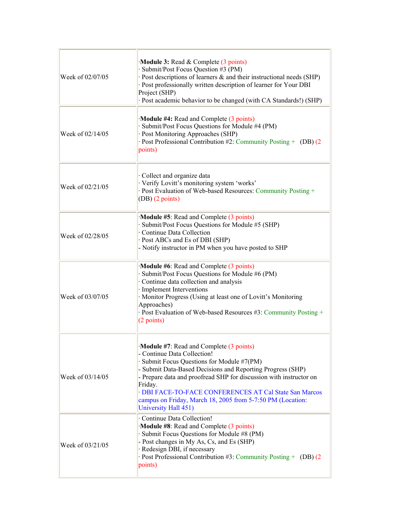| Week of 02/07/05 | $\cdot$ <b>Module 3:</b> Read & Complete (3 points)<br>· Submit/Post Focus Question #3 (PM)<br>· Post descriptions of learners & and their instructional needs (SHP)<br>· Post professionally written description of learner for Your DBI<br>Project (SHP)<br>· Post academic behavior to be changed (with CA Standards!) (SHP)                                                                                     |
|------------------|---------------------------------------------------------------------------------------------------------------------------------------------------------------------------------------------------------------------------------------------------------------------------------------------------------------------------------------------------------------------------------------------------------------------|
| Week of 02/14/05 | Module #4: Read and Complete (3 points)<br>Submit/Post Focus Questions for Module #4 (PM)<br>· Post Monitoring Approaches (SHP)<br>· Post Professional Contribution #2: Community Posting + (DB) (2)<br>points)                                                                                                                                                                                                     |
| Week of 02/21/05 | Collect and organize data<br>· Verify Lovitt's monitoring system 'works'<br>· Post Evaluation of Web-based Resources: Community Posting +<br>$(DB)$ (2 points)                                                                                                                                                                                                                                                      |
| Week of 02/28/05 | Module #5: Read and Complete (3 points)<br>Submit/Post Focus Questions for Module #5 (SHP)<br>Continue Data Collection<br>· Post ABCs and Es of DBI (SHP)<br>- Notify instructor in PM when you have posted to SHP                                                                                                                                                                                                  |
| Week of 03/07/05 | Module #6: Read and Complete (3 points)<br>· Submit/Post Focus Questions for Module #6 (PM)<br>Continue data collection and analysis<br>· Implement Interventions<br>· Monitor Progress (Using at least one of Lovitt's Monitoring<br>Approaches)<br>· Post Evaluation of Web-based Resources #3: Community Posting +<br>(2 points)                                                                                 |
| Week of 03/14/05 | Module #7: Read and Complete (3 points)<br>- Continue Data Collection!<br>· Submit Focus Questions for Module #7(PM)<br>- Submit Data-Based Decisions and Reporting Progress (SHP)<br>- Prepare data and proofread SHP for discussion with instructor on<br>Friday.<br>· DBI FACE-TO-FACE CONFERENCES AT Cal State San Marcos<br>campus on Friday, March 18, 2005 from 5-7:50 PM (Location:<br>University Hall 451) |
| Week of 03/21/05 | · Continue Data Collection!<br>Module #8: Read and Complete (3 points)<br>· Submit Focus Questions for Module #8 (PM)<br>- Post changes in My As, Cs, and Es (SHP)<br>· Redesign DBI, if necessary<br>· Post Professional Contribution #3: Community Posting + (DB) $(2)$<br>points)                                                                                                                                |